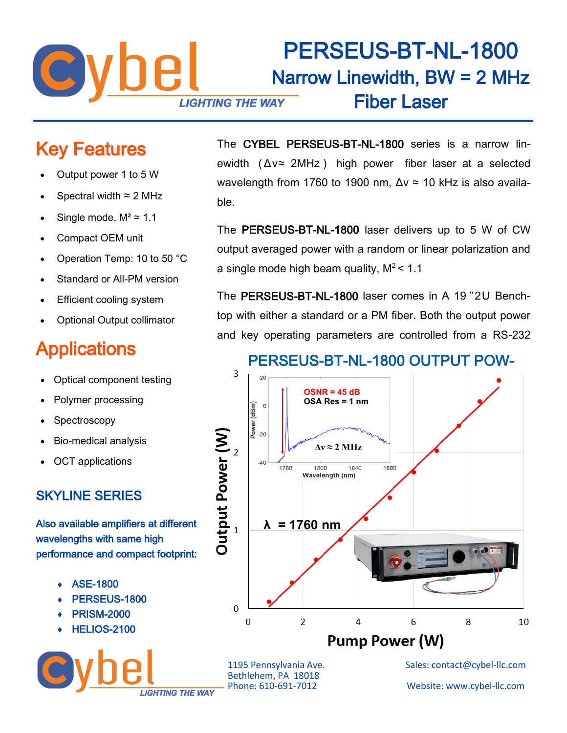

## PERSEUS-BT-NL-1800 Narrow Linewidth, BW = 2 MHz Fiber Laser

## Key Features

- Output power 1 to 5 W
- Spectral width  $\approx$  2 MHz
- Single mode,  $M^2 \approx 1.1$
- Compact OEM unit
- Operation Temp: 10 to 50 °C
- Standard or All-PM version
- **Efficient cooling system**
- Optional Output collimator

## **Applications**

- Optical component testing
- Polymer processing
- **Spectroscopy**
- Bio-medical analysis
- OCT applications

### SKYLINE SERIES

Also available amplifiers at different wavelengths with same high performance and compact footprint:

- ASE-1800
- PERSEUS-1800
- PRISM-2000
- **HELIOS-2100**



The CYBEL PERSEUS-BT-NL-1800 series is a narrow linewidth (Δν≈ 2MHz ) high power fiber laser at a selected wavelength from 1760 to 1900 nm,  $\Delta v \approx 10$  kHz is also available.

The PERSEUS-BT-NL-1800 laser delivers up to 5 W of CW output averaged power with a random or linear polarization and a single mode high beam quality,  $M^2$  < 1.1

The PERSEUS-BT-NL-1800 laser comes in A 19 "2U Benchtop with either a standard or a PM fiber. Both the output power and key operating parameters are controlled from a RS-232

#### PERSEUS-BT-NL-1800 OUTPUT POW-3  $\overline{20}$ **OSNR = 45 dB OSA Res = 1 nm** Power (dBm)<br> $\frac{1}{20}$  o Output Power (W) **Δν ≈ 2 MHz** $\overline{2}$  $-40$ 1760 1880 1800 1840 Wavelength (nm) **λ = 1760 nm**  $\mathbf{1}$  $\theta$  $\overline{\phantom{a}}$  $\overline{4}$ 6 8  $\overline{0}$  $10$ **Pump Power (W)**

Bethlehem, PA 18018

1195 Pennsylvania Ave. Sales: contact@cybel-llc.com Website: www.cybel-llc.com